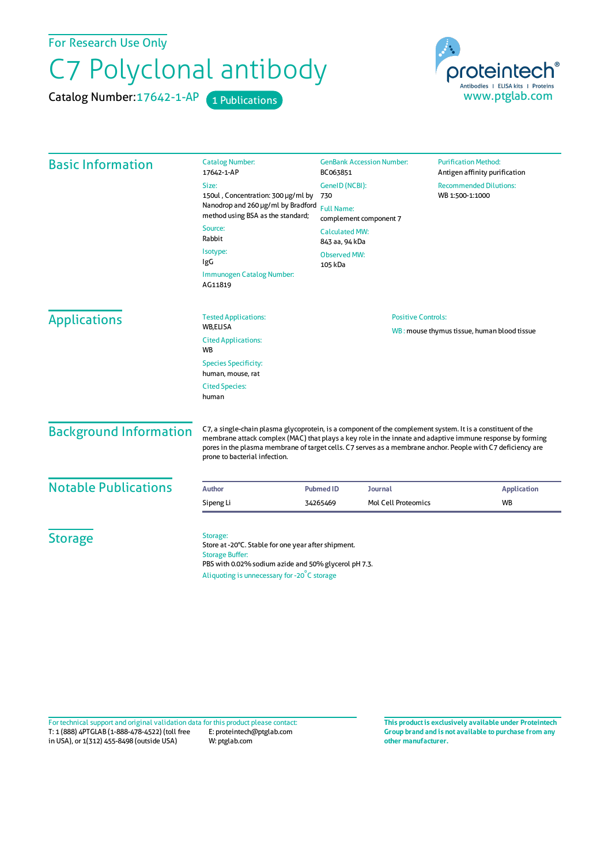For Research Use Only

## C7 Polyclonal antibody

Catalog Number: 17642-1-AP 1 Publications



| <b>Basic Information</b>                            | <b>Catalog Number:</b><br>17642-1-AP                                                                                                                                                                                                                                                                                                                                     | <b>GenBank Accession Number:</b><br>BC063851                          | <b>Purification Method:</b><br>Antigen affinity purification |                   |
|-----------------------------------------------------|--------------------------------------------------------------------------------------------------------------------------------------------------------------------------------------------------------------------------------------------------------------------------------------------------------------------------------------------------------------------------|-----------------------------------------------------------------------|--------------------------------------------------------------|-------------------|
|                                                     | Size:                                                                                                                                                                                                                                                                                                                                                                    | GenelD (NCBI):                                                        | <b>Recommended Dilutions:</b>                                |                   |
|                                                     | 150ul, Concentration: 300 µg/ml by<br>Nanodrop and 260 µg/ml by Bradford<br>method using BSA as the standard;                                                                                                                                                                                                                                                            | WB 1:500-1:1000<br>730<br><b>Full Name:</b><br>complement component 7 |                                                              |                   |
|                                                     |                                                                                                                                                                                                                                                                                                                                                                          |                                                                       |                                                              | Source:<br>Rabbit |
|                                                     | Isotype:<br>IgG                                                                                                                                                                                                                                                                                                                                                          | <b>Observed MW:</b><br>105 kDa                                        |                                                              |                   |
|                                                     | Immunogen Catalog Number:<br>AG11819                                                                                                                                                                                                                                                                                                                                     |                                                                       |                                                              |                   |
|                                                     | <b>Applications</b>                                                                                                                                                                                                                                                                                                                                                      | <b>Tested Applications:</b>                                           | <b>Positive Controls:</b>                                    |                   |
| WB,ELISA<br><b>Cited Applications:</b><br><b>WB</b> |                                                                                                                                                                                                                                                                                                                                                                          | WB: mouse thymus tissue, human blood tissue                           |                                                              |                   |
| <b>Species Specificity:</b><br>human, mouse, rat    |                                                                                                                                                                                                                                                                                                                                                                          |                                                                       |                                                              |                   |
| <b>Cited Species:</b><br>human                      |                                                                                                                                                                                                                                                                                                                                                                          |                                                                       |                                                              |                   |
| <b>Background Information</b>                       | C7, a single-chain plasma glycoprotein, is a component of the complement system. It is a constituent of the<br>membrane attack complex (MAC) that plays a key role in the innate and adaptive immune response by forming<br>pores in the plasma membrane of target cells. C7 serves as a membrane anchor. People with C7 deficiency are<br>prone to bacterial infection. |                                                                       |                                                              |                   |
| <b>Notable Publications</b>                         | <b>Author</b>                                                                                                                                                                                                                                                                                                                                                            | <b>Pubmed ID</b><br><b>Journal</b>                                    | <b>Application</b>                                           |                   |
|                                                     | Sipeng Li                                                                                                                                                                                                                                                                                                                                                                | <b>Mol Cell Proteomics</b><br>34265469                                | WB                                                           |                   |
| <b>Storage</b>                                      | Storage:<br>Store at -20°C. Stable for one year after shipment.<br><b>Storage Buffer:</b><br>PBS with 0.02% sodium azide and 50% glycerol pH 7.3.<br>Aliquoting is unnecessary for -20°C storage                                                                                                                                                                         |                                                                       |                                                              |                   |

T: 1 (888) 4PTGLAB (1-888-478-4522) (toll free in USA), or 1(312) 455-8498 (outside USA) E: proteintech@ptglab.com W: ptglab.com Fortechnical support and original validation data forthis product please contact: **This productis exclusively available under Proteintech**

**Group brand and is not available to purchase from any other manufacturer.**